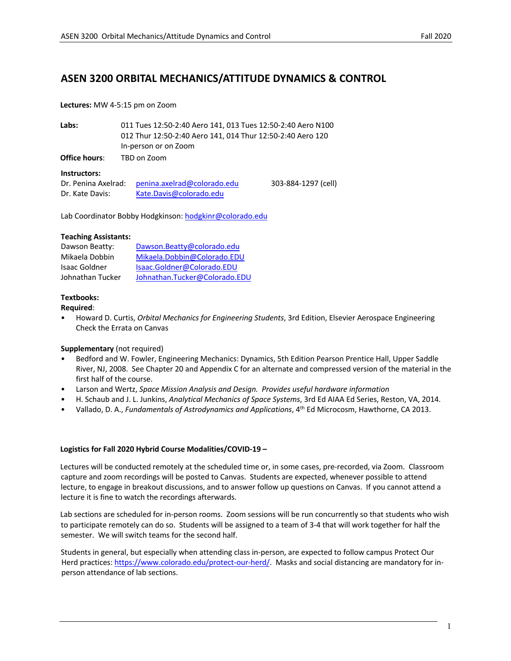# **ASEN 3200 ORBITAL MECHANICS/ATTITUDE DYNAMICS & CONTROL**

#### **Lectures:** MW 4-5:15 pm on Zoom

| Labs:         | 011 Tues 12:50-2:40 Aero 141, 013 Tues 12:50-2:40 Aero N100 |
|---------------|-------------------------------------------------------------|
|               | 012 Thur 12:50-2:40 Aero 141, 014 Thur 12:50-2:40 Aero 120  |
|               | In-person or on Zoom                                        |
| Office hours: | TBD on Zoom                                                 |

#### **Instructors:**

| Dr. Penina Axelrad: | penina.axelrad@colorado.edu | 303-884-1297 (cell) |
|---------------------|-----------------------------|---------------------|
| Dr. Kate Davis:     | Kate.Davis@colorado.edu     |                     |

Lab Coordinator Bobby Hodgkinson: hodgkinr@colorado.edu

#### **Teaching Assistants:**

| Dawson Beatty:       | Dawson.Beatty@colorado.edu    |  |
|----------------------|-------------------------------|--|
| Mikaela Dobbin       | Mikaela.Dobbin@Colorado.EDU   |  |
| <b>Isaac Goldner</b> | Isaac.Goldner@Colorado.EDU    |  |
| Johnathan Tucker     | Johnathan.Tucker@Colorado.EDU |  |

#### **Textbooks:**

#### **Required**:

• Howard D. Curtis, *Orbital Mechanics for Engineering Students*, 3rd Edition, Elsevier Aerospace Engineering Check the Errata on Canvas

#### **Supplementary** (not required)

- Bedford and W. Fowler, Engineering Mechanics: Dynamics, 5th Edition Pearson Prentice Hall, Upper Saddle River, NJ, 2008. See Chapter 20 and Appendix C for an alternate and compressed version of the material in the first half of the course.
- Larson and Wertz, *Space Mission Analysis and Design. Provides useful hardware information*
- H. Schaub and J. L. Junkins, *Analytical Mechanics of Space Systems*, 3rd Ed AIAA Ed Series, Reston, VA, 2014.
- Vallado, D. A., *Fundamentals of Astrodynamics and Applications*, 4th Ed Microcosm, Hawthorne, CA 2013.

#### **Logistics for Fall 2020 Hybrid Course Modalities/COVID-19 –**

Lectures will be conducted remotely at the scheduled time or, in some cases, pre-recorded, via Zoom. Classroom capture and zoom recordings will be posted to Canvas. Students are expected, whenever possible to attend lecture, to engage in breakout discussions, and to answer follow up questions on Canvas. If you cannot attend a lecture it is fine to watch the recordings afterwards.

Lab sections are scheduled for in-person rooms. Zoom sessions will be run concurrently so that students who wish to participate remotely can do so. Students will be assigned to a team of 3-4 that will work together for half the semester. We will switch teams for the second half.

Students in general, but especially when attending class in-person, are expected to follow campus Protect Our Herd practices: https://www.colorado.edu/protect-our-herd/. Masks and social distancing are mandatory for inperson attendance of lab sections.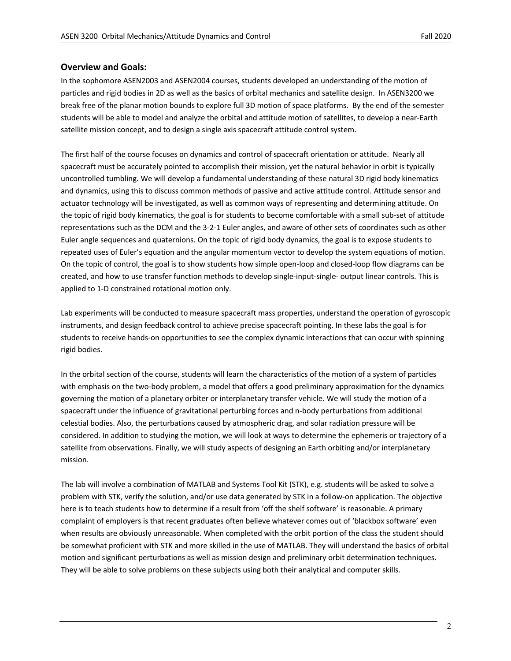### **Overview and Goals:**

In the sophomore ASEN2003 and ASEN2004 courses, students developed an understanding of the motion of particles and rigid bodies in 2D as well as the basics of orbital mechanics and satellite design. In ASEN3200 we break free of the planar motion bounds to explore full 3D motion of space platforms. By the end of the semester students will be able to model and analyze the orbital and attitude motion of satellites, to develop a near-Earth satellite mission concept, and to design a single axis spacecraft attitude control system.

The first half of the course focuses on dynamics and control of spacecraft orientation or attitude. Nearly all spacecraft must be accurately pointed to accomplish their mission, yet the natural behavior in orbit is typically uncontrolled tumbling. We will develop a fundamental understanding of these natural 3D rigid body kinematics and dynamics, using this to discuss common methods of passive and active attitude control. Attitude sensor and actuator technology will be investigated, as well as common ways of representing and determining attitude. On the topic of rigid body kinematics, the goal is for students to become comfortable with a small sub-set of attitude representations such as the DCM and the 3-2-1 Euler angles, and aware of other sets of coordinates such as other Euler angle sequences and quaternions. On the topic of rigid body dynamics, the goal is to expose students to repeated uses of Euler's equation and the angular momentum vector to develop the system equations of motion. On the topic of control, the goal is to show students how simple open-loop and closed-loop flow diagrams can be created, and how to use transfer function methods to develop single-input-single- output linear controls. This is applied to 1-D constrained rotational motion only.

Lab experiments will be conducted to measure spacecraft mass properties, understand the operation of gyroscopic instruments, and design feedback control to achieve precise spacecraft pointing. In these labs the goal is for students to receive hands-on opportunities to see the complex dynamic interactions that can occur with spinning rigid bodies.

In the orbital section of the course, students will learn the characteristics of the motion of a system of particles with emphasis on the two-body problem, a model that offers a good preliminary approximation for the dynamics governing the motion of a planetary orbiter or interplanetary transfer vehicle. We will study the motion of a spacecraft under the influence of gravitational perturbing forces and n-body perturbations from additional celestial bodies. Also, the perturbations caused by atmospheric drag, and solar radiation pressure will be considered. In addition to studying the motion, we will look at ways to determine the ephemeris or trajectory of a satellite from observations. Finally, we will study aspects of designing an Earth orbiting and/or interplanetary mission.

The lab will involve a combination of MATLAB and Systems Tool Kit (STK), e.g. students will be asked to solve a problem with STK, verify the solution, and/or use data generated by STK in a follow-on application. The objective here is to teach students how to determine if a result from 'off the shelf software' is reasonable. A primary complaint of employers is that recent graduates often believe whatever comes out of 'blackbox software' even when results are obviously unreasonable. When completed with the orbit portion of the class the student should be somewhat proficient with STK and more skilled in the use of MATLAB. They will understand the basics of orbital motion and significant perturbations as well as mission design and preliminary orbit determination techniques. They will be able to solve problems on these subjects using both their analytical and computer skills.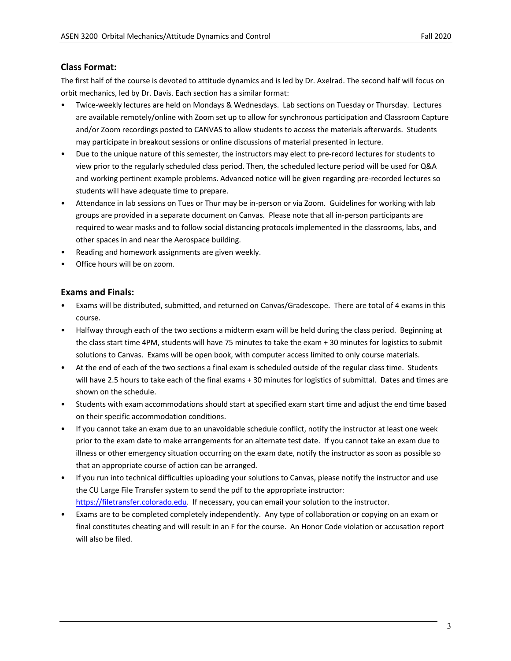# **Class Format:**

The first half of the course is devoted to attitude dynamics and is led by Dr. Axelrad. The second half will focus on orbit mechanics, led by Dr. Davis. Each section has a similar format:

- Twice-weekly lectures are held on Mondays & Wednesdays. Lab sections on Tuesday or Thursday. Lectures are available remotely/online with Zoom set up to allow for synchronous participation and Classroom Capture and/or Zoom recordings posted to CANVAS to allow students to access the materials afterwards. Students may participate in breakout sessions or online discussions of material presented in lecture.
- Due to the unique nature of this semester, the instructors may elect to pre-record lectures for students to view prior to the regularly scheduled class period. Then, the scheduled lecture period will be used for Q&A and working pertinent example problems. Advanced notice will be given regarding pre-recorded lectures so students will have adequate time to prepare.
- Attendance in lab sessions on Tues or Thur may be in-person or via Zoom. Guidelines for working with lab groups are provided in a separate document on Canvas. Please note that all in-person participants are required to wear masks and to follow social distancing protocols implemented in the classrooms, labs, and other spaces in and near the Aerospace building.
- Reading and homework assignments are given weekly.
- Office hours will be on zoom.

### **Exams and Finals:**

- Exams will be distributed, submitted, and returned on Canvas/Gradescope. There are total of 4 exams in this course.
- Halfway through each of the two sections a midterm exam will be held during the class period. Beginning at the class start time 4PM, students will have 75 minutes to take the exam + 30 minutes for logistics to submit solutions to Canvas. Exams will be open book, with computer access limited to only course materials.
- At the end of each of the two sections a final exam is scheduled outside of the regular class time. Students will have 2.5 hours to take each of the final exams + 30 minutes for logistics of submittal. Dates and times are shown on the schedule.
- Students with exam accommodations should start at specified exam start time and adjust the end time based on their specific accommodation conditions.
- If you cannot take an exam due to an unavoidable schedule conflict, notify the instructor at least one week prior to the exam date to make arrangements for an alternate test date. If you cannot take an exam due to illness or other emergency situation occurring on the exam date, notify the instructor as soon as possible so that an appropriate course of action can be arranged.
- If you run into technical difficulties uploading your solutions to Canvas, please notify the instructor and use the CU Large File Transfer system to send the pdf to the appropriate instructor: https://filetransfer.colorado.edu. If necessary, you can email your solution to the instructor.
- Exams are to be completed completely independently. Any type of collaboration or copying on an exam or final constitutes cheating and will result in an F for the course. An Honor Code violation or accusation report will also be filed.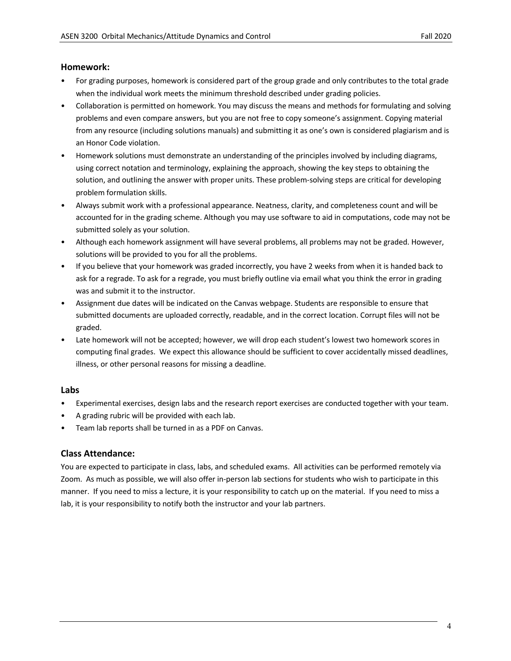### **Homework:**

- For grading purposes, homework is considered part of the group grade and only contributes to the total grade when the individual work meets the minimum threshold described under grading policies.
- Collaboration is permitted on homework. You may discuss the means and methods for formulating and solving problems and even compare answers, but you are not free to copy someone's assignment. Copying material from any resource (including solutions manuals) and submitting it as one's own is considered plagiarism and is an Honor Code violation.
- Homework solutions must demonstrate an understanding of the principles involved by including diagrams, using correct notation and terminology, explaining the approach, showing the key steps to obtaining the solution, and outlining the answer with proper units. These problem-solving steps are critical for developing problem formulation skills.
- Always submit work with a professional appearance. Neatness, clarity, and completeness count and will be accounted for in the grading scheme. Although you may use software to aid in computations, code may not be submitted solely as your solution.
- Although each homework assignment will have several problems, all problems may not be graded. However, solutions will be provided to you for all the problems.
- If you believe that your homework was graded incorrectly, you have 2 weeks from when it is handed back to ask for a regrade. To ask for a regrade, you must briefly outline via email what you think the error in grading was and submit it to the instructor.
- Assignment due dates will be indicated on the Canvas webpage. Students are responsible to ensure that submitted documents are uploaded correctly, readable, and in the correct location. Corrupt files will not be graded.
- Late homework will not be accepted; however, we will drop each student's lowest two homework scores in computing final grades. We expect this allowance should be sufficient to cover accidentally missed deadlines, illness, or other personal reasons for missing a deadline.

# **Labs**

- Experimental exercises, design labs and the research report exercises are conducted together with your team.
- A grading rubric will be provided with each lab.
- Team lab reports shall be turned in as a PDF on Canvas.

# **Class Attendance:**

You are expected to participate in class, labs, and scheduled exams. All activities can be performed remotely via Zoom. As much as possible, we will also offer in-person lab sections for students who wish to participate in this manner. If you need to miss a lecture, it is your responsibility to catch up on the material. If you need to miss a lab, it is your responsibility to notify both the instructor and your lab partners.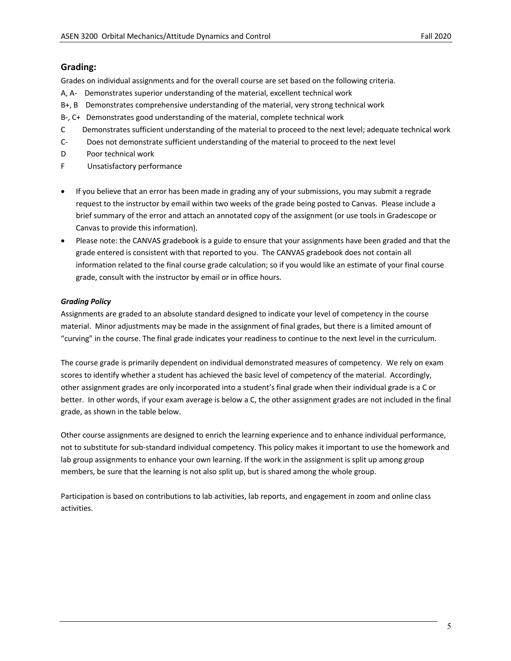# **Grading:**

Grades on individual assignments and for the overall course are set based on the following criteria.

- A, A- Demonstrates superior understanding of the material, excellent technical work
- B+, B Demonstrates comprehensive understanding of the material, very strong technical work
- B-, C+ Demonstrates good understanding of the material, complete technical work
- C Demonstrates sufficient understanding of the material to proceed to the next level; adequate technical work
- C- Does not demonstrate sufficient understanding of the material to proceed to the next level
- D Poor technical work
- F Unsatisfactory performance
- If you believe that an error has been made in grading any of your submissions, you may submit a regrade request to the instructor by email within two weeks of the grade being posted to Canvas. Please include a brief summary of the error and attach an annotated copy of the assignment (or use tools in Gradescope or Canvas to provide this information).
- Please note: the CANVAS gradebook is a guide to ensure that your assignments have been graded and that the grade entered is consistent with that reported to you. The CANVAS gradebook does not contain all information related to the final course grade calculation; so if you would like an estimate of your final course grade, consult with the instructor by email or in office hours.

### *Grading Policy*

Assignments are graded to an absolute standard designed to indicate your level of competency in the course material. Minor adjustments may be made in the assignment of final grades, but there is a limited amount of "curving" in the course. The final grade indicates your readiness to continue to the next level in the curriculum.

The course grade is primarily dependent on individual demonstrated measures of competency. We rely on exam scores to identify whether a student has achieved the basic level of competency of the material. Accordingly, other assignment grades are only incorporated into a student's final grade when their individual grade is a C or better. In other words, if your exam average is below a C, the other assignment grades are not included in the final grade, as shown in the table below.

Other course assignments are designed to enrich the learning experience and to enhance individual performance, not to substitute for sub-standard individual competency. This policy makes it important to use the homework and lab group assignments to enhance your own learning. If the work in the assignment is split up among group members, be sure that the learning is not also split up, but is shared among the whole group.

Participation is based on contributions to lab activities, lab reports, and engagement in zoom and online class activities.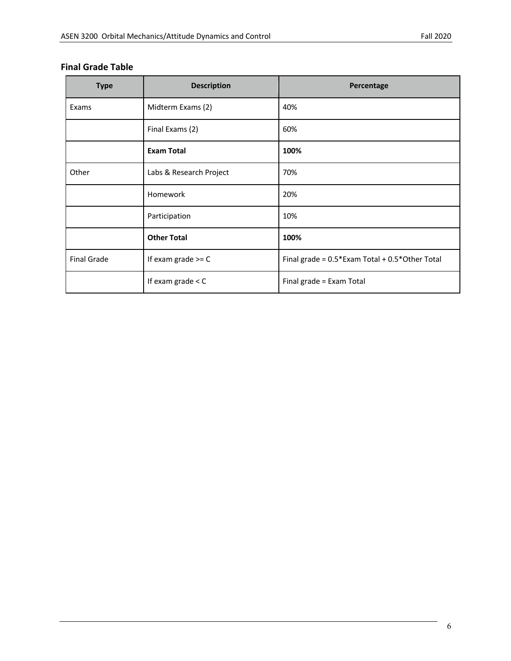# **Final Grade Table**

| <b>Type</b>        | <b>Description</b>      | Percentage                                           |
|--------------------|-------------------------|------------------------------------------------------|
| Exams              | Midterm Exams (2)       | 40%                                                  |
|                    | Final Exams (2)         | 60%                                                  |
|                    | <b>Exam Total</b>       | 100%                                                 |
| Other              | Labs & Research Project | 70%                                                  |
|                    | Homework                | 20%                                                  |
|                    | Participation           | 10%                                                  |
|                    | <b>Other Total</b>      | 100%                                                 |
| <b>Final Grade</b> | If exam grade $>=$ C    | Final grade = $0.5*$ Exam Total + $0.5*$ Other Total |
|                    | If exam grade $<$ C     | Final grade = Exam Total                             |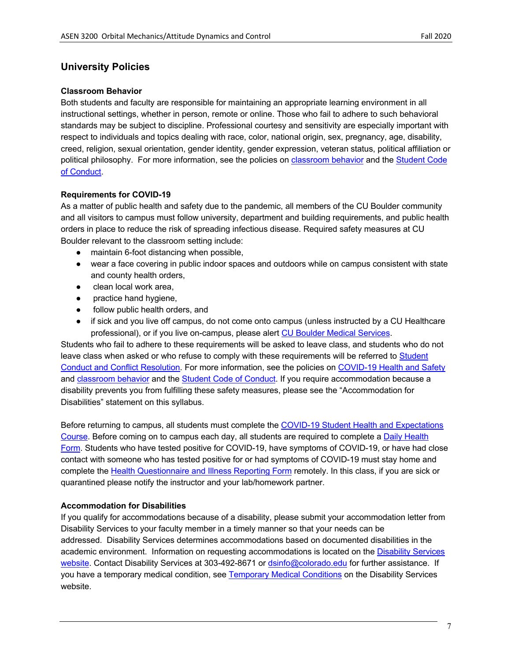# **University Policies**

# **Classroom Behavior**

Both students and faculty are responsible for maintaining an appropriate learning environment in all instructional settings, whether in person, remote or online. Those who fail to adhere to such behavioral standards may be subject to discipline. Professional courtesy and sensitivity are especially important with respect to individuals and topics dealing with race, color, national origin, sex, pregnancy, age, disability, creed, religion, sexual orientation, gender identity, gender expression, veteran status, political affiliation or political philosophy. For more information, see the policies on classroom behavior and the Student Code of Conduct.

# **Requirements for COVID-19**

As a matter of public health and safety due to the pandemic, all members of the CU Boulder community and all visitors to campus must follow university, department and building requirements, and public health orders in place to reduce the risk of spreading infectious disease. Required safety measures at CU Boulder relevant to the classroom setting include:

- maintain 6-foot distancing when possible,
- wear a face covering in public indoor spaces and outdoors while on campus consistent with state and county health orders,
- clean local work area.
- practice hand hygiene,
- follow public health orders, and
- if sick and you live off campus, do not come onto campus (unless instructed by a CU Healthcare professional), or if you live on-campus, please alert CU Boulder Medical Services.

Students who fail to adhere to these requirements will be asked to leave class, and students who do not leave class when asked or who refuse to comply with these requirements will be referred to Student Conduct and Conflict Resolution. For more information, see the policies on COVID-19 Health and Safety and classroom behavior and the Student Code of Conduct. If you require accommodation because a disability prevents you from fulfilling these safety measures, please see the "Accommodation for Disabilities" statement on this syllabus.

Before returning to campus, all students must complete the COVID-19 Student Health and Expectations Course. Before coming on to campus each day, all students are required to complete a Daily Health Form. Students who have tested positive for COVID-19, have symptoms of COVID-19, or have had close contact with someone who has tested positive for or had symptoms of COVID-19 must stay home and complete the Health Questionnaire and Illness Reporting Form remotely. In this class, if you are sick or quarantined please notify the instructor and your lab/homework partner.

# **Accommodation for Disabilities**

If you qualify for accommodations because of a disability, please submit your accommodation letter from Disability Services to your faculty member in a timely manner so that your needs can be addressed. Disability Services determines accommodations based on documented disabilities in the academic environment. Information on requesting accommodations is located on the Disability Services website. Contact Disability Services at 303-492-8671 or dsinfo@colorado.edu for further assistance. If you have a temporary medical condition, see Temporary Medical Conditions on the Disability Services website.